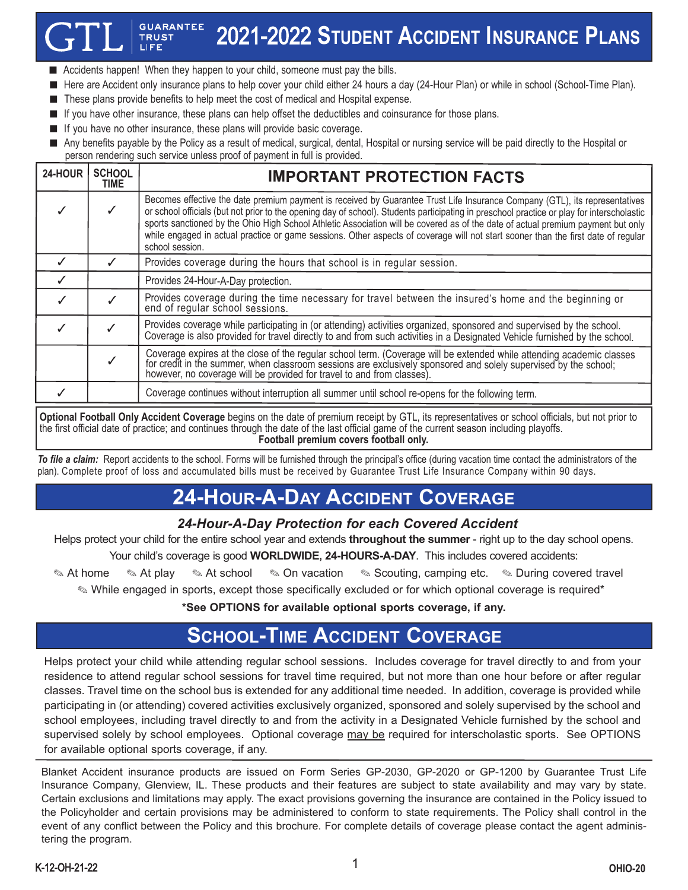#### **GUARANTEE** 2021-2022 **STUDENT ACCIDENT INSURANCE PLANS TRUST**

- Accidents happen! When they happen to your child, someone must pay the bills.
- Here are Accident only insurance plans to help cover your child either 24 hours a day (24-Hour Plan) or while in school (School-Time Plan).
- These plans provide benefits to help meet the cost of medical and Hospital expense.
- If you have other insurance, these plans can help offset the deductibles and coinsurance for those plans.
- If you have no other insurance, these plans will provide basic coverage.
- Any benefits payable by the Policy as a result of medical, surgical, dental, Hospital or nursing service will be paid directly to the Hospital or person rendering such service unless proof of payment in full is provided.

| 24-HOUR | <b>SCHOOL</b><br>TIME | <b>IMPORTANT PROTECTION FACTS</b>                                                                                                                                                                                                                                                                                                                                                                                                                                                                                                                                     |
|---------|-----------------------|-----------------------------------------------------------------------------------------------------------------------------------------------------------------------------------------------------------------------------------------------------------------------------------------------------------------------------------------------------------------------------------------------------------------------------------------------------------------------------------------------------------------------------------------------------------------------|
|         |                       | Becomes effective the date premium payment is received by Guarantee Trust Life Insurance Company (GTL), its representatives<br>or school officials (but not prior to the opening day of school). Students participating in preschool practice or play for interscholastic<br>sports sanctioned by the Ohio High School Athletic Association will be covered as of the date of actual premium payment but only<br>while engaged in actual practice or game sessions. Other aspects of coverage will not start sooner than the first date of reqular<br>school session. |
|         |                       | Provides coverage during the hours that school is in regular session.                                                                                                                                                                                                                                                                                                                                                                                                                                                                                                 |
|         |                       | Provides 24-Hour-A-Day protection.                                                                                                                                                                                                                                                                                                                                                                                                                                                                                                                                    |
|         |                       | Provides coverage during the time necessary for travel between the insured's home and the beginning or end of regular school sessions.                                                                                                                                                                                                                                                                                                                                                                                                                                |
|         |                       | Provides coverage while participating in (or attending) activities organized, sponsored and supervised by the school.<br>Coverage is also provided for travel directly to and from such activities in a Designated Vehicle furnished by the school.                                                                                                                                                                                                                                                                                                                   |
|         |                       | Coverage expires at the close of the regular school term. (Coverage will be extended while attending academic classes for credit in the summer, when classroom sessions are exclusively sponsored and solely supervised by the                                                                                                                                                                                                                                                                                                                                        |
|         |                       | Coverage continues without interruption all summer until school re-opens for the following term.                                                                                                                                                                                                                                                                                                                                                                                                                                                                      |

**Optional Football Only Accident Coverage** begins on the date of premium receipt by GTL, its representatives or school officials, but not prior to the first official date of practice; and continues through the date of the last official game of the current season including playoffs. **Football premium covers football only.**

*To file a claim:* Report accidents to the school. Forms will be furnished through the principal's office (during vacation time contact the administrators of the plan). Complete proof of loss and accumulated bills must be received by Guarantee Trust Life Insurance Company within 90 days.

# **24-HOUR-A-DAY ACCIDENT COVERAGE**

### *24-Hour-A-Day Protection for each Covered Accident*

Helps protect your child for the entire school year and extends **throughout the summer** - right up to the day school opens.

Your child's coverage is good **WORLDWIDE, 24-HOURS-A-DAY**. This includes covered accidents:

✎ At home ✎ At play ✎ At school ✎ On vacation ✎ Scouting, camping etc. ✎ During covered travel

✎ While engaged in sports, except those specifically excluded or for which optional coverage is required\*

**\*See OPTIONS for available optional sports coverage, if any.**

# **SCHOOL-TIME ACCIDENT COVERAGE**

Helps protect your child while attending regular school sessions. Includes coverage for travel directly to and from your residence to attend regular school sessions for travel time required, but not more than one hour before or after regular classes. Travel time on the school bus is extended for any additional time needed. In addition, coverage is provided while participating in (or attending) covered activities exclusively organized, sponsored and solely supervised by the school and school employees, including travel directly to and from the activity in a Designated Vehicle furnished by the school and supervised solely by school employees. Optional coverage may be required for interscholastic sports. See OPTIONS for available optional sports coverage, if any.

Blanket Accident insurance products are issued on Form Series GP-2030, GP-2020 or GP-1200 by Guarantee Trust Life Insurance Company, Glenview, IL. These products and their features are subject to state availability and may vary by state. Certain exclusions and limitations may apply. The exact provisions governing the insurance are contained in the Policy issued to the Policyholder and certain provisions may be administered to conform to state requirements. The Policy shall control in the event of any conflict between the Policy and this brochure. For complete details of coverage please contact the agent administering the program.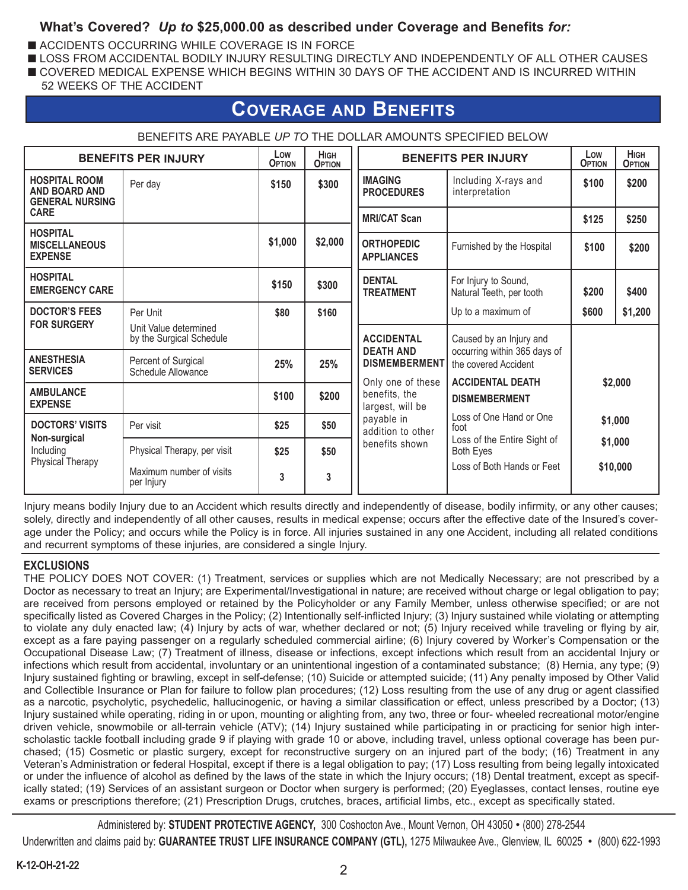### **What's Covered?** *Up to* **\$25,000.00 as described under Coverage and Benefits** *for:*

- ACCIDENTS OCCURRING WHILE COVERAGE IS IN FORCE
- LOSS FROM ACCIDENTAL BODILY INJURY RESULTING DIRECTLY AND INDEPENDENTLY OF ALL OTHER CAUSES
- COVERED MEDICAL EXPENSE WHICH BEGINS WITHIN 30 DAYS OF THE ACCIDENT AND IS INCURRED WITHIN
- 52 WEEKS OF THE ACCIDENT

## **COVERAGE AND BENEFITS**

| <b>BENEFITS PER INJURY</b>                                      | Low<br><b>OPTION</b>                              | <b>HIGH</b><br><b>OPTION</b> | <b>BENEFITS PER INJURY</b>                   | Low<br><b>OPTION</b>                                   | <b>HIGH</b><br><b>OPTION</b>                         |                               |          |
|-----------------------------------------------------------------|---------------------------------------------------|------------------------------|----------------------------------------------|--------------------------------------------------------|------------------------------------------------------|-------------------------------|----------|
| <b>HOSPITAL ROOM</b><br>AND BOARD AND<br><b>GENERAL NURSING</b> | Per day                                           | \$150                        | <b>IMAGING</b><br>\$300<br><b>PROCEDURES</b> | Including X-rays and<br>interpretation                 | \$100                                                | \$200                         |          |
| <b>CARE</b>                                                     |                                                   |                              |                                              | <b>MRI/CAT Scan</b>                                    |                                                      | \$125                         | \$250    |
| <b>HOSPITAL</b><br><b>MISCELLANEOUS</b><br><b>EXPENSE</b>       |                                                   | \$1,000                      | \$2,000                                      | <b>ORTHOPEDIC</b><br><b>APPLIANCES</b>                 | Furnished by the Hospital                            | \$100                         | \$200    |
| <b>HOSPITAL</b><br><b>EMERGENCY CARE</b>                        |                                                   | \$150                        | \$300                                        | <b>DENTAL</b><br><b>TREATMENT</b>                      | For Injury to Sound,<br>Natural Teeth, per tooth     | \$200                         | \$400    |
| <b>DOCTOR'S FEES</b>                                            | Per Unit                                          | \$80                         | \$160                                        |                                                        | Up to a maximum of                                   | \$600                         | \$1,200  |
| <b>FOR SURGERY</b>                                              | Unit Value determined<br>by the Surgical Schedule |                              |                                              | <b>ACCIDENTAL</b><br><b>DEATH AND</b>                  | Caused by an Injury and                              |                               |          |
| <b>ANESTHESIA</b><br><b>SERVICES</b>                            | Percent of Surgical<br>Schedule Allowance         | 25%                          | 25%                                          | <b>DISMEMBERMENT</b>                                   | occurring within 365 days of<br>the covered Accident | \$2,000<br>\$1,000<br>\$1,000 |          |
| <b>AMBULANCE</b><br><b>EXPENSE</b>                              |                                                   | \$100                        | \$200                                        | Only one of these<br>benefits, the<br>largest, will be | <b>ACCIDENTAL DEATH</b><br><b>DISMEMBERMENT</b>      |                               |          |
| <b>DOCTORS' VISITS</b>                                          | Per visit                                         | \$25                         | \$50                                         | payable in<br>addition to other                        | Loss of One Hand or One<br>foot                      |                               |          |
| Non-surgical<br>Including                                       | Physical Therapy, per visit                       | \$25                         | \$50                                         | benefits shown                                         | Loss of the Entire Sight of<br><b>Both Eyes</b>      |                               |          |
| <b>Physical Therapy</b>                                         | Maximum number of visits<br>per Injury            | 3                            | 3                                            |                                                        | Loss of Both Hands or Feet                           |                               | \$10,000 |

#### BENEFITS ARE PAYABLE *UP TO* THE DOLLAR AMOUNTS SPECIFIED BELOW

Injury means bodily Injury due to an Accident which results directly and independently of disease, bodily infirmity, or any other causes; solely, directly and independently of all other causes, results in medical expense; occurs after the effective date of the Insured's coverage under the Policy; and occurs while the Policy is in force. All injuries sustained in any one Accident, including all related conditions and recurrent symptoms of these injuries, are considered a single Injury.

#### **EXCLUSIONS**

THE POLICY DOES NOT COVER: (1) Treatment, services or supplies which are not Medically Necessary; are not prescribed by a Doctor as necessary to treat an Injury; are Experimental/Investigational in nature; are received without charge or legal obligation to pay; are received from persons employed or retained by the Policyholder or any Family Member, unless otherwise specified; or are not specifically listed as Covered Charges in the Policy; (2) Intentionally self-inflicted Injury; (3) Injury sustained while violating or attempting to violate any duly enacted law; (4) Injury by acts of war, whether declared or not; (5) Injury received while traveling or flying by air, except as a fare paying passenger on a regularly scheduled commercial airline; (6) Injury covered by Worker's Compensation or the Occupational Disease Law; (7) Treatment of illness, disease or infections, except infections which result from an accidental Injury or infections which result from accidental, involuntary or an unintentional ingestion of a contaminated substance; (8) Hernia, any type; (9) Injury sustained fighting or brawling, except in self-defense; (10) Suicide or attempted suicide; (11) Any penalty imposed by Other Valid and Collectible Insurance or Plan for failure to follow plan procedures; (12) Loss resulting from the use of any drug or agent classified as a narcotic, psycholytic, psychedelic, hallucinogenic, or having a similar classification or effect, unless prescribed by a Doctor; (13) Injury sustained while operating, riding in or upon, mounting or alighting from, any two, three or four- wheeled recreational motor/engine driven vehicle, snowmobile or all-terrain vehicle (ATV); (14) Injury sustained while participating in or practicing for senior high interscholastic tackle football including grade 9 if playing with grade 10 or above, including travel, unless optional coverage has been purchased; (15) Cosmetic or plastic surgery, except for reconstructive surgery on an injured part of the body; (16) Treatment in any Veteran's Administration or federal Hospital, except if there is a legal obligation to pay; (17) Loss resulting from being legally intoxicated or under the influence of alcohol as defined by the laws of the state in which the Injury occurs; (18) Dental treatment, except as specifically stated; (19) Services of an assistant surgeon or Doctor when surgery is performed; (20) Eyeglasses, contact lenses, routine eye exams or prescriptions therefore; (21) Prescription Drugs, crutches, braces, artificial limbs, etc., except as specifically stated.

Administered by: **STUDENT PROTECTIVE AGENCY,** 300 Coshocton Ave., Mount Vernon, OH 43050 • (800) 278-2544 Underwritten and claims paid by: **GUARANTEE TRUST LIFE INSURANCE COMPANY (GTL),** 1275 Milwaukee Ave., Glenview, IL 60025 • (800) 622-1993